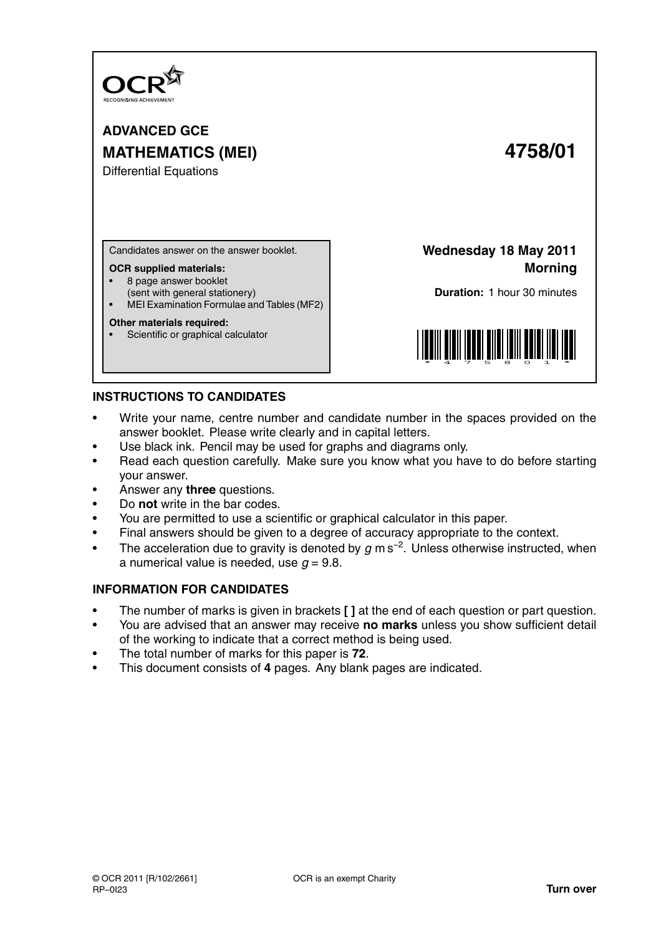

**ADVANCED GCE MATHEMATICS (MEI) 4758/01**

Differential Equations

Candidates answer on the answer booklet.

#### **OCR supplied materials:**

- 8 page answer booklet
- (sent with general stationery)
- MEI Examination Formulae and Tables (MF2)

#### **Other materials required:**

Scientific or graphical calculator

**Wednesday 18 May 2011 Morning**

**Duration:** 1 hour 30 minutes



# **INSTRUCTIONS TO CANDIDATES**

- Write your name, centre number and candidate number in the spaces provided on the answer booklet. Please write clearly and in capital letters.
- Use black ink. Pencil may be used for graphs and diagrams only.
- Read each question carefully. Make sure you know what you have to do before starting your answer.
- Answer any **three** questions.
- Do **not** write in the bar codes.
- You are permitted to use a scientific or graphical calculator in this paper.
- Final answers should be given to a degree of accuracy appropriate to the context.
- The acceleration due to gravity is denoted by  $g$  m s<sup>-2</sup>. Unless otherwise instructed, when a numerical value is needed, use  $q = 9.8$ .

# **INFORMATION FOR CANDIDATES**

- The number of marks is given in brackets **[ ]** at the end of each question or part question.
- You are advised that an answer may receive **no marks** unless you show sufficient detail of the working to indicate that a correct method is being used.
- The total number of marks for this paper is **72**.
- This document consists of **4** pages. Any blank pages are indicated.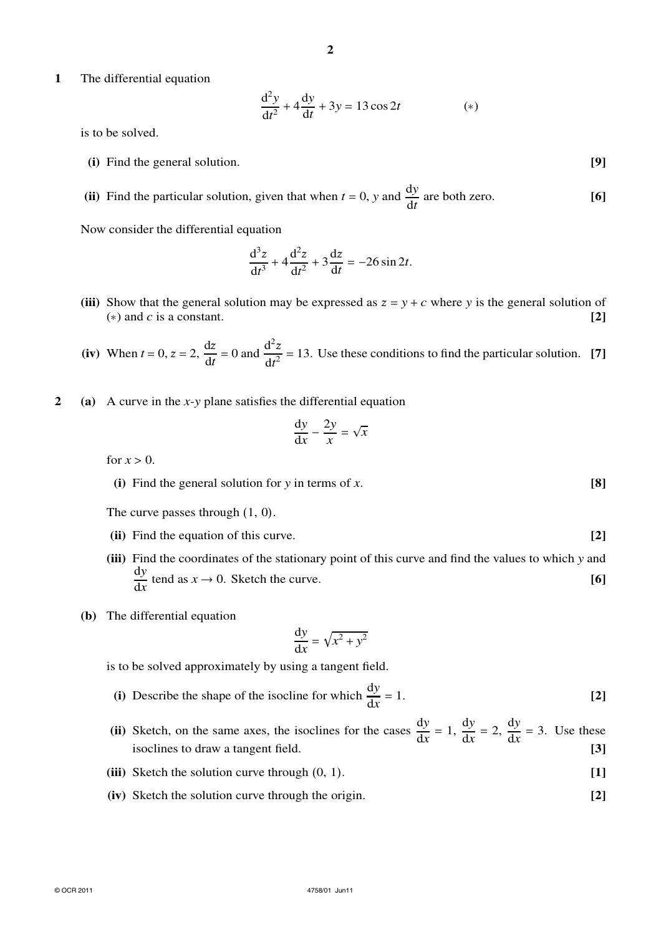**1** The differential equation

$$
\frac{d^2y}{dt^2} + 4\frac{dy}{dt} + 3y = 13\cos 2t
$$
 (\*)

is to be solved.

- **(i)** Find the general solution. **[9]**
- (ii) Find the particular solution, given that when  $t = 0$ , *y* and  $\frac{dy}{dt}$  are both zero. [6]

Now consider the differential equation

$$
\frac{d^3z}{dt^3} + 4\frac{d^2z}{dt^2} + 3\frac{dz}{dt} = -26\sin 2t.
$$

- (iii) Show that the general solution may be expressed as  $z = y + c$  where y is the general solution of (\*) and *c* is a constant.  $\begin{bmatrix} 2 \end{bmatrix}$
- **(iv)** When  $t = 0$ ,  $z = 2$ ,  $\frac{dz}{dt} = 0$  and  $\frac{d^2z}{dt^2}$  $\frac{d^2 z}{dt^2} = 13$ . Use these conditions to find the particular solution. [7]
- **2 (a)** A curve in the *x*-*y* plane satisfies the differential equation

$$
\frac{\mathrm{d}y}{\mathrm{d}x} - \frac{2y}{x} = \sqrt{x}
$$

for  $x > 0$ .

**(i)** Find the general solution for *y* in terms of *x*. **[8]**

The curve passes through (1, 0).

- **(ii)** Find the equation of this curve. **[2]**
- **(iii)** Find the coordinates of the stationary point of this curve and find the values to which *y* and d*y*  $\frac{dy}{dx}$  tend as  $x \to 0$ . Sketch the curve. **[6]**
- **(b)** The differential equation

$$
\frac{\mathrm{d}y}{\mathrm{d}x} = \sqrt{x^2 + y^2}
$$

is to be solved approximately by using a tangent field.

- **(i)** Describe the shape of the isocline for which  $\frac{dy}{dx}$  $= 1.$  **[2]**
- (ii) Sketch, on the same axes, the isoclines for the cases  $\frac{dy}{dx} = 1$ ,  $\frac{dy}{dx} = 2$ ,  $\frac{dy}{dx} = 3$ . Use these isoclines to draw a tangent field. **[3]**
- **(iii)** Sketch the solution curve through (0, 1). **[1]**
- **(iv)** Sketch the solution curve through the origin. **[2]**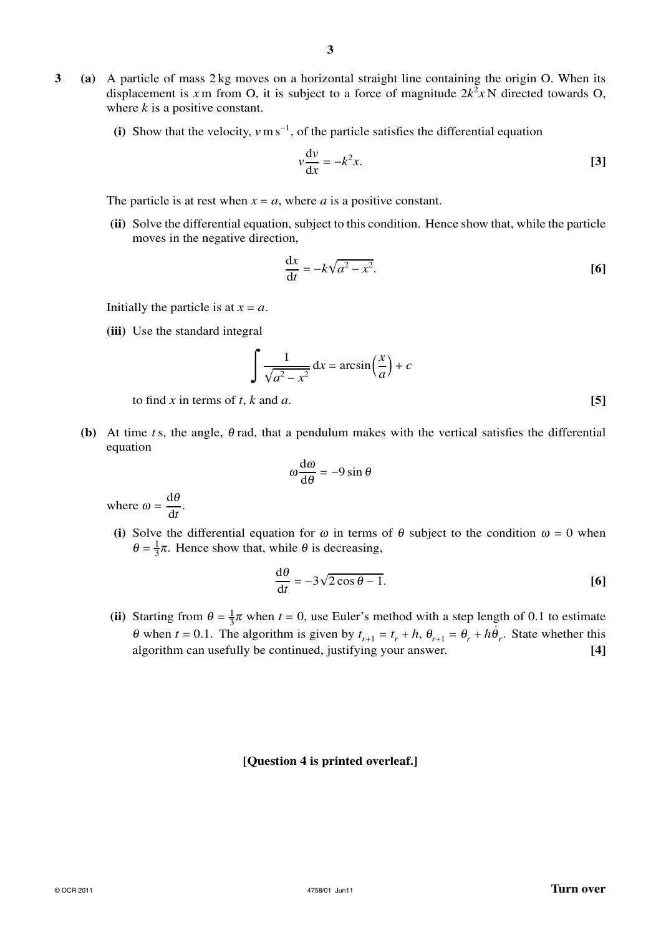- **3 (a)** A particle of mass 2 kg moves on a horizontal straight line containing the origin O. When its displacement is x m from O, it is subject to a force of magnitude  $2k^2xN$  directed towards O, where *k* is a positive constant.
	- (i) Show that the velocity,  $v \text{ m s}^{-1}$ , of the particle satisfies the differential equation

$$
v\frac{\mathrm{d}v}{\mathrm{d}x} = -k^2 x.\tag{3}
$$

The particle is at rest when  $x = a$ , where *a* is a positive constant.

**(ii)** Solve the differential equation, subject to this condition. Hence show that, while the particle moves in the negative direction,

$$
\frac{\mathrm{d}x}{\mathrm{d}t} = -k\sqrt{a^2 - x^2}.\tag{6}
$$

Initially the particle is at  $x = a$ .

**(iii)** Use the standard integral

$$
\int \frac{1}{\sqrt{a^2 - x^2}} dx = \arcsin\left(\frac{x}{a}\right) + c
$$

to find *x* in terms of *t*, *k* and *a*.  $[5]$ 

**(b)** At time *t* s, the angle,  $\theta$  rad, that a pendulum makes with the vertical satisfies the differential equation

$$
\omega \frac{\mathrm{d}\omega}{\mathrm{d}\theta} = -9\sin\theta
$$

where  $\omega = \frac{d\theta}{dt}$  $\frac{d\theta}{dt}$ 

(i) Solve the differential equation for  $\omega$  in terms of  $\theta$  subject to the condition  $\omega = 0$  when  $\theta = \frac{1}{3}$  $\frac{1}{3}\pi$ . Hence show that, while  $\theta$  is decreasing,

$$
\frac{\mathrm{d}\theta}{\mathrm{d}t} = -3\sqrt{2\cos\theta - 1}.\tag{6}
$$

**(ii)** Starting from  $\theta = \frac{1}{3}$  $\frac{1}{3}\pi$  when  $t = 0$ , use Euler's method with a step length of 0.1 to estimate  $\theta$  when  $t = 0.1$ . The algorithm is given by  $t_{r+1} = t_r + h$ ,  $\theta_{r+1} = \theta_r + h\dot{\theta}_r$ . State whether this algorithm can usefully be continued, justifying your answer. **[4]**

## **[Question 4 is printed overleaf.]**